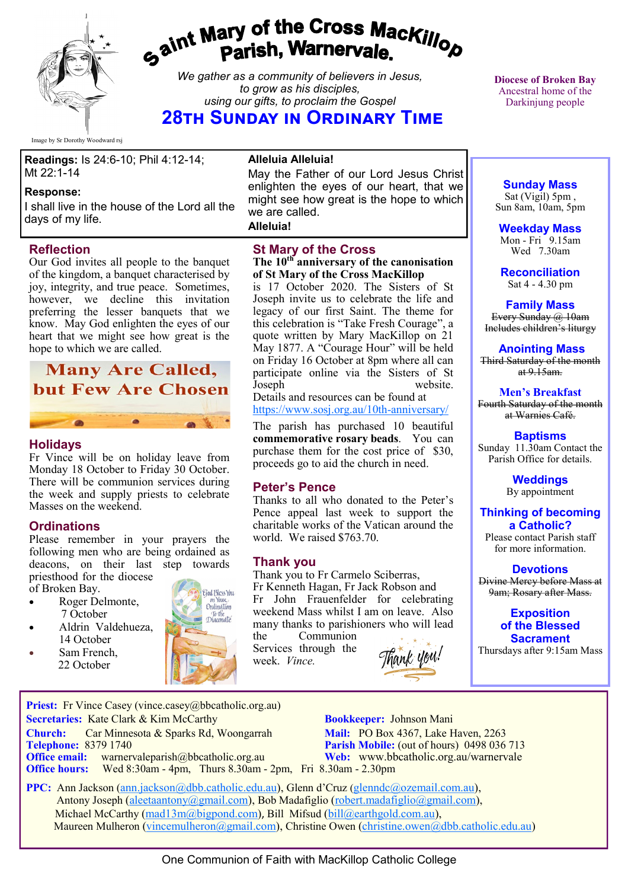

# gaint Mary of the Cross Mackillop<br>Parish, Warnervale.

*We gather as a community of believers in Jesus, to grow as his disciples, using our gifts, to proclaim the Gospel*

**28th Sunday in Ordinary Time** 

Image by Sr Dorothy Woodward rsj

**Readings:** Is 24:6-10; Phil 4:12-14; Mt 22:1-14

#### **Response:**

I shall live in the house of the Lord all the days of my life.

#### **Reflection**

Our God invites all people to the banquet of the kingdom, a banquet characterised by joy, integrity, and true peace. Sometimes, however, we decline this invitation preferring the lesser banquets that we know. May God enlighten the eyes of our heart that we might see how great is the hope to which we are called.

# **Many Are Called, but Few Are Chosen**

#### **Holidays**

Fr Vince will be on holiday leave from Monday 18 October to Friday 30 October. There will be communion services during the week and supply priests to celebrate Masses on the weekend.

#### **Ordinations**

Please remember in your prayers the following men who are being ordained as deacons, on their last step towards priesthood for the diocese

of Broken Bay.

- Roger Delmonte. 7 October
- Aldrin Valdehueza, 14 October
	- Sam French, 22 October



**Alleluia Alleluia!**

May the Father of our Lord Jesus Christ enlighten the eyes of our heart, that we might see how great is the hope to which we are called. **Alleluia!**

**St Mary of the Cross The 10th anniversary of the canonisation of St Mary of the Cross MacKillop**

is 17 October 2020. The Sisters of St Joseph invite us to celebrate the life and legacy of our first Saint. The theme for this celebration is "Take Fresh Courage", a quote written by Mary MacKillop on 21 May 1877. A "Courage Hour" will be held on Friday 16 October at 8pm where all can participate online via the Sisters of St Joseph website.

Details and resources can be found at [https://www.sosj.org.au/10th](https://bbcatholic.us8.list-manage.com/track/click?u=466af249e088db70ab864d088&id=9fc212cfe1&e=082a8c9b01)-anniversary/

The parish has purchased 10 beautiful **commemorative rosary beads**. You can purchase them for the cost price of \$30, proceeds go to aid the church in need.

#### **Peter's Pence**

Thanks to all who donated to the Peter's Pence appeal last week to support the charitable works of the Vatican around the world. We raised \$763.70.

#### **Thank you**

Thank you to Fr Carmelo Sciberras, Fr Kenneth Hagan, Fr Jack Robson and Fr John Frauenfelder for celebrating weekend Mass whilst I am on leave. Also many thanks to parishioners who will lead

the Communion Services through the week. *Vince.*



**Parish Mobile:** (out of hours) 0498 036 713

**Diocese of Broken Bay**  Ancestral home of the Darkinjung people

**Sunday Mass** Sat (Vigil) 5pm , Sun 8am, 10am, 5pm

**Weekday Mass** Mon - Fri  $9.15$ am Wed 7.30am

**Reconciliation** Sat 4 - 4.30 pm

**Family Mass**  Every Sunday @ 10am Includes children's liturgy

**Anointing Mass** Third Saturday of the month at  $9.15$ am.

**Men's Breakfast** Fourth Saturday of the month at Warnies Café.

**Baptisms** Sunday 11.30am Contact the Parish Office for details.

> **Weddings**  By appointment

**Thinking of becoming a Catholic?**

Please contact Parish staff for more information.

#### **Devotions** Divine Mercy before Mass at 9am; Rosary after Mass.

**Exposition of the Blessed Sacrament**

Thursdays after 9:15am Mass

**Priest:** Fr Vince Casey (vince.casey@bbcatholic.org.au) **Secretaries:** Kate Clark & Kim McCarthy **Bookkeeper:** Johnson Mani

**Church:** Car Minnesota & Sparks Rd, Woongarrah **Mail:** PO Box 4367, Lake Haven, 2263<br> **Telephone:** 8379 1740 **Parish Mobile:** (out of hours) 0498 036

**Office email:** warnervaleparish@bbcatholic.org.au **Web:** [www.bbcatholic.org.au/warnervale](https://www.bbcatholic.org.au/warnervale)

**Office hours:** Wed 8:30am - 4pm, Thurs 8.30am - 2pm, Fri 8.30am - 2.30pm

 **PPC:** Ann Jackson ([ann.jackson@dbb.catholic.edu.au\),](mailto:ann.jackson@dbb.catholic.edu.au) Glenn d'Cruz ([glenndc@ozemail.com.au\)](mailto:glenndc@ozemail.com.au), Antony Joseph ([aleetaantony@gmail.com\),](mailto:aleetaantony@gmail.com) Bob Madafiglio [\(robert.madafiglio@gmail.com\),](mailto:robert.madafiglio@gmail.com) Michael McCarthy ([mad13m@bigpond.com\)](mailto:mad13m@bigpond.com), Bill Mifsud ([bill@earthgold.com.au\),](mailto:bill@earthgold.com.au) Maureen Mulheron ([vincemulheron@gmail.com\)](mailto:vincemulheron@gmail.com), Christine Owen (christine.owen[@dbb.catholic.edu.au\)](mailto:ann.jackson@dbb.catholic.edu.au)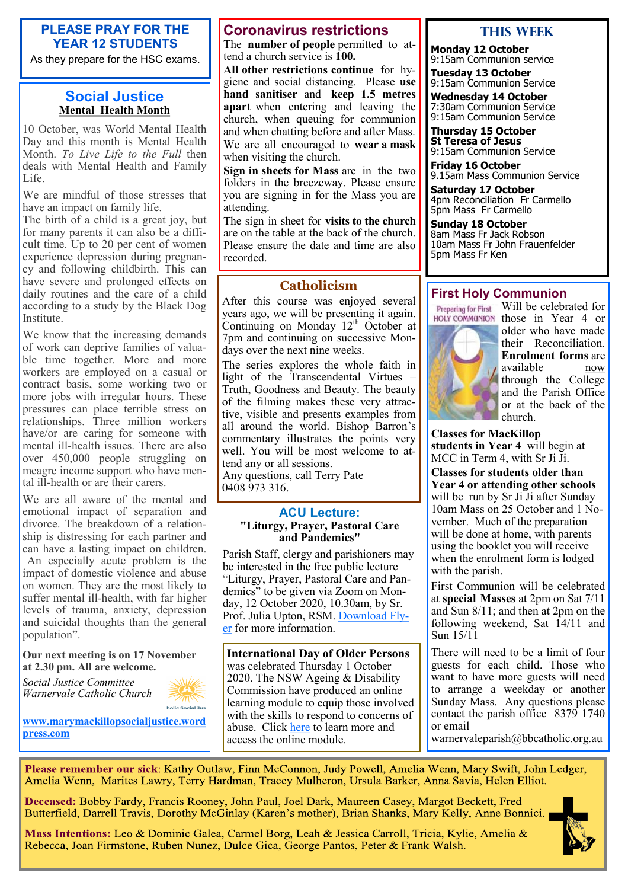#### **PLEASE PRAY FOR THE YEAR 12 STUDENTS**

As they prepare for the HSC exams.

#### **Social Justice Mental Health Month**

10 October, was World Mental Health Day and this month is Mental Health Month. *To Live Life to the Full* then deals with Mental Health and Family Life.

We are mindful of those stresses that have an impact on family life.

The birth of a child is a great joy, but for many parents it can also be a difficult time. Up to 20 per cent of women experience depression during pregnancy and following childbirth. This can have severe and prolonged effects on daily routines and the care of a child according to a study by the Black Dog Institute.

We know that the increasing demands of work can deprive families of valuable time together. More and more workers are employed on a casual or contract basis, some working two or more jobs with irregular hours. These pressures can place terrible stress on relationships. Three million workers have/or are caring for someone with mental ill-health issues. There are also over 450,000 people struggling on meagre income support who have mental ill-health or are their carers.

We are all aware of the mental and emotional impact of separation and divorce. The breakdown of a relationship is distressing for each partner and can have a lasting impact on children. An especially acute problem is the impact of domestic violence and abuse on women. They are the most likely to suffer mental ill-health, with far higher levels of trauma, anxiety, depression and suicidal thoughts than the general population".

#### **Our next meeting is on 17 November at 2.30 pm. All are welcome.**

*Social Justice Committee Warnervale Catholic Church*



**[www.marymackillopsocialjustice.word](http://www.marymackillopsocialjustice.wordpress.com) [press.com](http://www.marymackillopsocialjustice.wordpress.com)**

#### **Coronavirus restrictions**

The **number of people** permitted to attend a church service is **100.** 

**All other restrictions continue** for hygiene and social distancing. Please **use hand sanitiser** and **keep 1.5 metres apart** when entering and leaving the church, when queuing for communion and when chatting before and after Mass. We are all encouraged to **wear a mask**  when visiting the church.

**Sign in sheets for Mass** are in the two folders in the breezeway. Please ensure you are signing in for the Mass you are attending.

The sign in sheet for **visits to the church**  are on the table at the back of the church. Please ensure the date and time are also recorded.

#### **Catholicism**

After this course was enjoyed several years ago, we will be presenting it again. Continuing on Monday  $12^{th}$  October at 7pm and continuing on successive Mondays over the next nine weeks.

The series explores the whole faith in light of the Transcendental Virtues – Truth, Goodness and Beauty. The beauty of the filming makes these very attractive, visible and presents examples from all around the world. Bishop Barron's commentary illustrates the points very well. You will be most welcome to attend any or all sessions. Any questions, call Terry Pate 0408 973 316.

**ACU Lecture: "Liturgy, Prayer, Pastoral Care and Pandemics"**

Parish Staff, clergy and parishioners may be interested in the free public lecture "Liturgy, Prayer, Pastoral Care and Pandemics" to be given via Zoom on Monday, 12 October 2020, 10.30am, by Sr. Prof. Julia Upton, RSM. [Download Fly](https://bbcatholic.us8.list-manage.com/track/click?u=466af249e088db70ab864d088&id=e8ea919f51&e=082a8c9b01)[er](https://bbcatholic.us8.list-manage.com/track/click?u=466af249e088db70ab864d088&id=e8ea919f51&e=082a8c9b01) for more information.

**International Day of Older Persons**  was celebrated Thursday 1 October 2020. The NSW Ageing & Disability Commission have produced an online learning module to equip those involved with the skills to respond to concerns of abuse. Click [here](https://bbcatholic.us8.list-manage.com/track/click?u=466af249e088db70ab864d088&id=6d210b3219&e=082a8c9b01) to learn more and access the online module.

#### **This WeeK**

**Monday 12 October** 9:15am Communion service

**Tuesday 13 October** 9:15am Communion Service

**Wednesday 14 October** 7:30am Communion Service 9:15am Communion Service

**Thursday 15 October St Teresa of Jesus** 9:15am Communion Service

**Friday 16 October** 9.15am Mass Communion Service

**Saturday 17 October** 4pm Reconciliation Fr Carmello 5pm Mass Fr Carmello

**Sunday 18 October** 8am Mass Fr Jack Robson 10am Mass Fr John Frauenfelder 5pm Mass Fr Ken

#### **First Holy Communion**

**Preparing for First HOLY COMMUNION** 



those in Year 4 or older who have made their Reconciliation. **Enrolment forms** are available now through the College and the Parish Office or at the back of the church.

Will be celebrated for

**Classes for MacKillop students in Year 4** will begin at MCC in Term 4, with Sr Ji Ji.

**Classes for students older than Year 4 or attending other schools**  will be run by Sr Ji Ji after Sunday 10am Mass on 25 October and 1 November. Much of the preparation will be done at home, with parents using the booklet you will receive when the enrolment form is lodged with the parish.

First Communion will be celebrated at **special Masses** at 2pm on Sat 7/11 and Sun 8/11; and then at 2pm on the following weekend, Sat  $14/11$  and Sun 15/11

There will need to be a limit of four guests for each child. Those who want to have more guests will need to arrange a weekday or another Sunday Mass. Any questions please contact the parish office 8379 1740 or email

warnervaleparish@bbcatholic.org.au

Please remember our sick: Kathy Outlaw, Finn McConnon, Judy Powell, Amelia Wenn, Mary Swift, John Ledger, Amelia Wenn, Marites Lawry, Terry Hardman, Tracey Mulheron, Ursula Barker, Anna Savia, Helen Elliot.

Deceased: Bobby Fardy, Francis Rooney, John Paul, Joel Dark, Maureen Casey, Margot Beckett, Fred Butterfield, Darrell Travis, Dorothy McGinlay (Karen's mother), Brian Shanks, Mary Kelly, Anne Bonnici.

Mass Intentions: Leo & Dominic Galea, Carmel Borg, Leah & Jessica Carroll, Tricia, Kylie, Amelia & Rebecca, Joan Firmstone, Ruben Nunez, Dulce Gica, George Pantos, Peter & Frank Walsh.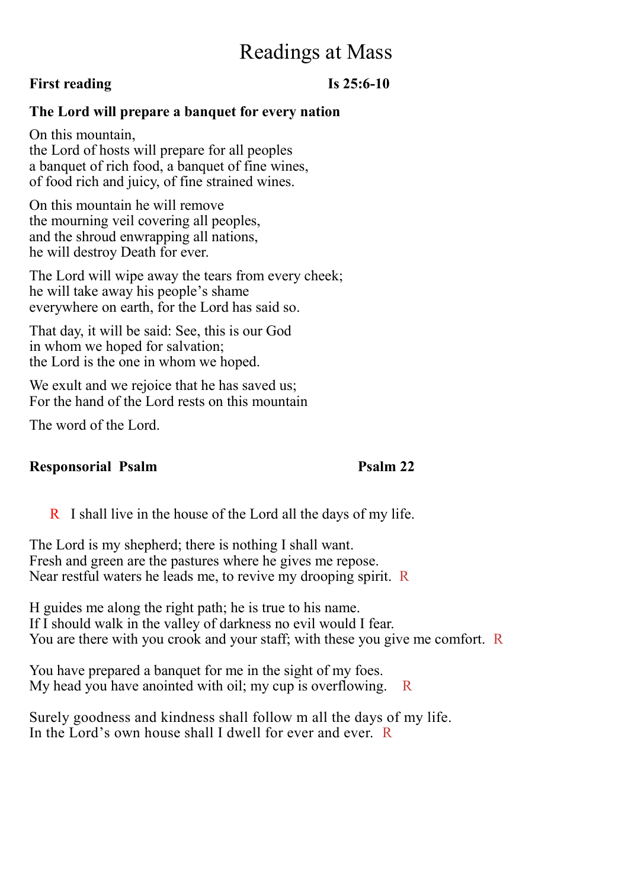## Readings at Mass

## **First reading Is 25:6-10**

## **The Lord will prepare a banquet for every nation**

On this mountain, the Lord of hosts will prepare for all peoples a banquet of rich food, a banquet of fine wines, of food rich and juicy, of fine strained wines.

On this mountain he will remove the mourning veil covering all peoples, and the shroud enwrapping all nations, he will destroy Death for ever.

The Lord will wipe away the tears from every cheek; he will take away his people's shame everywhere on earth, for the Lord has said so.

That day, it will be said: See, this is our God in whom we hoped for salvation; the Lord is the one in whom we hoped.

We exult and we rejoice that he has saved us; For the hand of the Lord rests on this mountain

The word of the Lord.

## **Responsorial Psalm Psalm Psalm 22**

R I shall live in the house of the Lord all the days of my life.

The Lord is my shepherd; there is nothing I shall want. Fresh and green are the pastures where he gives me repose. Near restful waters he leads me, to revive my drooping spirit. R

H guides me along the right path; he is true to his name. If I should walk in the valley of darkness no evil would I fear. You are there with you crook and your staff; with these you give me comfort. R

You have prepared a banquet for me in the sight of my foes. My head you have anointed with oil; my cup is overflowing.  $R$ 

Surely goodness and kindness shall follow m all the days of my life. In the Lord's own house shall I dwell for ever and ever. R